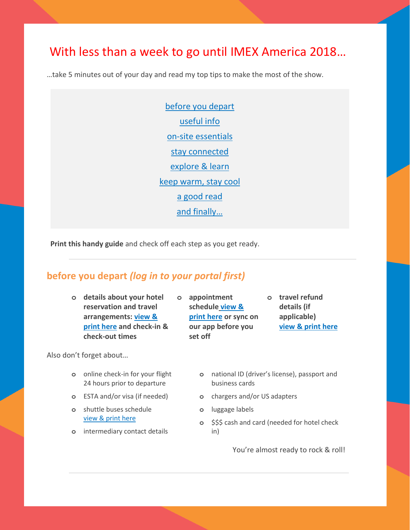# With less than a week to go until IMEX America 2018…

…take 5 minutes out of your day and read my top tips to make the most of the show.

[before you depart](#page-0-0) [useful info](#page-1-0)  [on-site essentials](#page-1-1) [stay connected](#page-2-0) [explore & learn](#page-2-1) [keep warm, stay cool](#page-3-0) [a good read](#page-4-0) [and finally…](#page-4-1) 

**Print this handy guide** and check off each step as you get ready.

## <span id="page-0-0"></span>**before you depart** *(log in to your portal first)*

**o details about your hotel reservation and travel arrangements: [view &](https://portal.imexamerica.com/view-flights.php)  [print here](https://portal.imexamerica.com/view-flights.php) and check-in & check-out times**

Also don't forget about…

- **o** online check-in for your flight 24 hours prior to departure
- **o** ESTA and/or visa (if needed)
- **o** shuttle buses schedule [view & print here](https://www.imexamerica.com/sites/america/files/IA18%20shuttle%20bus%20timetable.pdf)
- **o** intermediary contact details

**o appointment schedule [view &](https://portal.imexamerica.com/hbdiarydisplay.php?all=1)  [print here](https://portal.imexamerica.com/hbdiarydisplay.php?all=1) or sync on our app before you set off**

- **o travel refund details (if applicable) [view & print here](https://portal.imexamerica.com/hb_refund.php?step=1)**
- **o** national ID (driver's license), passport and business cards
- **o** chargers and/or US adapters
- **o** luggage labels
- **o** \$\$\$ cash and card (needed for hotel check in)

You're almost ready to rock & roll!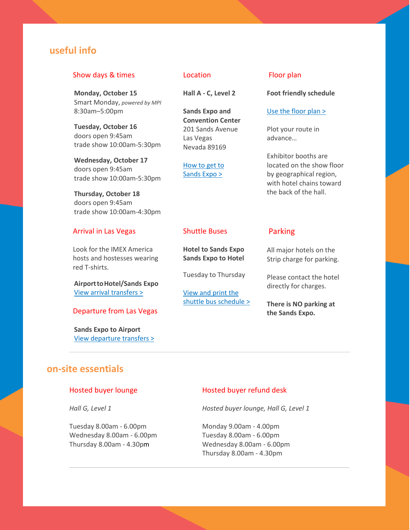## <span id="page-1-0"></span>**useful info**

### Show days & times

**Monday, October 15** Smart Monday, *powered by MPI* 8:30am–5:00pm

**Tuesday, October 16** doors open 9:45am trade show 10:00am-5:30pm

**Wednesday, October 17**  doors open 9:45am trade show 10:00am-5:30pm

**Thursday, October 18** doors open 9:45am trade show 10:00am-4:30pm

### Arrival in Las Vegas

Look for the IMEX America hosts and hostesses wearing red T-shirts.

**AirporttoHotel/Sands Expo** [View arrival transfers >](https://www.imexamerica.com/las-vegas-arrival-and-departure-information#arrival-at-mccarran-airport)

## Departure from Las Vegas

**Sands Expo to Airport** [View departure transfers >](https://www.imexamerica.com/las-vegas-arrival-and-departure-information#departure-from-las-vegas)

#### Location

**Hall A - C, Level 2**

**Sands Expo and Convention Center** 201 Sands Avenue Las Vegas Nevada 89169

[How to get to](https://www.imexamerica.com/show-information#how-to-get-there)  [Sands Expo >](https://www.imexamerica.com/show-information#how-to-get-there)

### Floor plan

**Foot friendly schedule**

#### [Use the floor plan >](https://portal.imexamerica.com/vex/floorplan/index.php)

Plot your route in advance…

Exhibitor booths are located on the show floor by geographical region, with hotel chains toward the back of the hall.

### Shuttle Buses

**Hotel to Sands Expo Sands Expo to Hotel**

Tuesday to Thursday

[View and print the](https://www.imexamerica.com/sites/america/files/IA18%20shuttle%20bus%20timetable.pdf)  [shuttle bus schedule >](https://www.imexamerica.com/sites/america/files/IA18%20shuttle%20bus%20timetable.pdf)

### Parking

All major hotels on the Strip charge for parking.

Please contact the hotel directly for charges.

**There is NO parking at the Sands Expo.**

## <span id="page-1-1"></span>**on-site essentials**

### Hosted buyer lounge

*Hall G, Level 1* 

Tuesday 8.00am - 6.00pm Wednesday 8.00am - 6.00pm Thursday 8.00am - 4.30pm

### Hosted buyer refund desk

*Hosted buyer lounge, Hall G, Level 1* 

Monday 9.00am - 4.00pm Tuesday 8.00am - 6.00pm Wednesday 8.00am - 6.00pm Thursday 8.00am - 4.30pm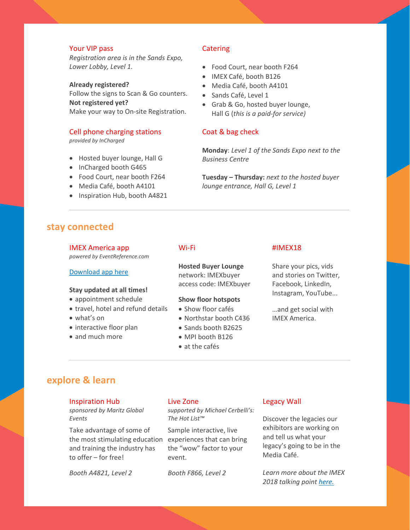## Your VIP pass

*Registration area is in the Sands Expo, Lower Lobby, Level 1.*

**Already registered?** Follow the signs to Scan & Go counters. **Not registered yet?** Make your way to On-site Registration.

## Cell phone charging stations

*provided by InCharged*

- Hosted buyer lounge, Hall G
- InCharged booth G465
- Food Court, near booth F264
- Media Café, booth A4101
- Inspiration Hub, booth A4821

## **Catering**

- Food Court, near booth F264
- IMEX Café, booth B126
- Media Café, booth A4101
- Sands Café, Level 1
- Grab & Go, hosted buyer lounge, Hall G (*this is a paid-for service)*

### Coat & bag check

**Monday**: *Level 1 of the Sands Expo next to the Business Centre*

**Tuesday – Thursday:** *next to the hosted buyer lounge entrance, Hall G, Level 1*

## <span id="page-2-0"></span>**stay connected**

#### IMEX America app

*powered by EventReference.com*

#### Download app here

#### **Stay updated at all times!**

- appointment schedule
- travel, hotel and refund details
- what's on
- interactive floor plan
- and much more

## Wi-Fi

**Hosted Buyer Lounge** network: IMEXbuyer access code: IMEXbuyer

#### **Show floor hotspots**

- Show floor cafés
- Northstar booth C436
- Sands booth B2625
- MPI booth B126
- at the cafés

#### #IMEX18

Share your pics, vids and stories on Twitter, Facebook, LinkedIn, Instagram, YouTube...

…and get social with IMEX America.

## <span id="page-2-1"></span>**explore & learn**

#### Inspiration Hub

*sponsored by Maritz Global Events*

Take advantage of some of the most stimulating education and training the industry has to offer – for free!

*Booth A4821, Level 2*

#### Live Zone

*supported by Michael Cerbelli's: The Hot List™*

Sample interactive, live experiences that can bring the "wow" factor to your event.

*Booth F866, Level 2*

#### Legacy Wall

Discover the legacies our exhibitors are working on and tell us what your legacy's going to be in the Media Café.

*Learn more about the IMEX 2018 talking point [here.](https://www.imexamerica.com/whats-on/legacy)*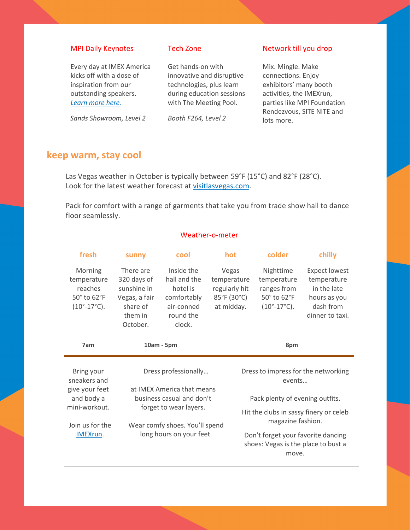## MPI Daily Keynotes

Every day at IMEX America kicks off with a dose of inspiration from our outstanding speakers. *[Learn more here.](https://www.imexamerica.com/whats-on/mpi-keynotes)*

*Sands Showroom, Level 2*

## Tech Zone

Get hands-on with innovative and disruptive technologies, plus learn during education sessions with The Meeting Pool.

*Booth F264, Level 2*

## Network till you drop

Mix. Mingle. Make connections. Enjoy exhibitors' many booth activities, the IMEXrun, parties like MPI Foundation Rendezvous, SITE NITE and lots more.

## <span id="page-3-0"></span>**keep warm, stay cool**

Las Vegas weather in October is typically between 59°F (15°C) and 82°F (28°C). Look for the latest weather forecast at [visitlasvegas.com.](http://www.visitlasvegas.com/)

Pack for comfort with a range of garments that take you from trade show hall to dance floor seamlessly.

## Weather-o-meter

| fresh                                                                              | sunny                                                                                       | cool                                                                                       | hot                                                                | colder                                                                                   | chilly                                                                                             |  |
|------------------------------------------------------------------------------------|---------------------------------------------------------------------------------------------|--------------------------------------------------------------------------------------------|--------------------------------------------------------------------|------------------------------------------------------------------------------------------|----------------------------------------------------------------------------------------------------|--|
| Morning<br>temperature<br>reaches<br>50° to 62°F<br>$(10^{\circ} - 17^{\circ}C)$ . | There are<br>320 days of<br>sunshine in<br>Vegas, a fair<br>share of<br>them in<br>October. | Inside the<br>hall and the<br>hotel is<br>comfortably<br>air-conned<br>round the<br>clock. | Vegas<br>temperature<br>regularly hit<br>85°F (30°C)<br>at midday. | Nighttime<br>temperature<br>ranges from<br>50° to 62°F<br>$(10^{\circ} - 17^{\circ}C)$ . | <b>Expect lowest</b><br>temperature<br>in the late<br>hours as you<br>dash from<br>dinner to taxi. |  |
| 7am                                                                                | 10am - 5pm                                                                                  |                                                                                            |                                                                    | 8pm                                                                                      |                                                                                                    |  |
| Dress professionally<br>Bring your<br>at IMEX America that means                   |                                                                                             |                                                                                            |                                                                    | Dress to impress for the networking<br>events                                            |                                                                                                    |  |
| sneakers and                                                                       |                                                                                             |                                                                                            |                                                                    |                                                                                          |                                                                                                    |  |
| give your feet<br>and body a                                                       |                                                                                             | business casual and don't                                                                  |                                                                    | Pack plenty of evening outfits.                                                          |                                                                                                    |  |
| mini-workout.<br>Join us for the                                                   |                                                                                             | forget to wear layers.<br>Wear comfy shoes. You'll spend                                   |                                                                    | Hit the clubs in sassy finery or celeb<br>magazine fashion.                              |                                                                                                    |  |